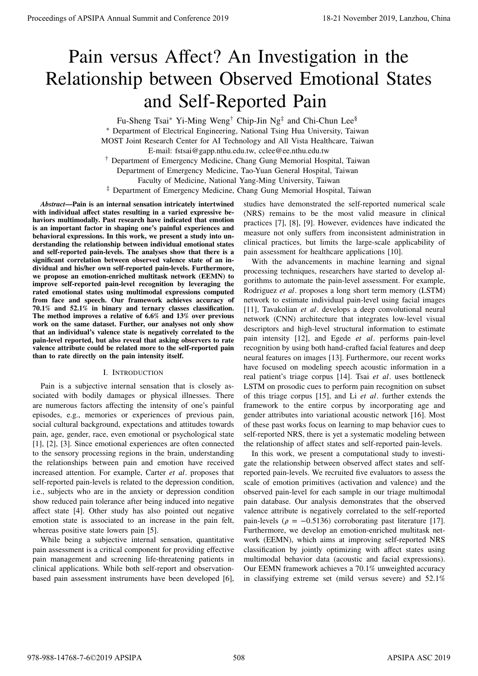# Pain versus Affect? An Investigation in the Relationship between Observed Emotional States and Self-Reported Pain

Fu-Sheng Tsai\* Yi-Ming Weng<sup>†</sup> Chip-Jin Ng<sup>‡</sup> and Chi-Chun Lee<sup>§</sup> <sup>∗</sup> Department of Electrical Engineering, National Tsing Hua University, Taiwan MOST Joint Research Center for AI Technology and All Vista Healthcare, Taiwan E-mail: fstsai@gapp.nthu.edu.tw, cclee@ee.nthu.edu.tw † Department of Emergency Medicine, Chang Gung Memorial Hospital, Taiwan Department of Emergency Medicine, Tao-Yuan General Hospital, Taiwan Faculty of Medicine, National Yang-Ming University, Taiwan ‡ Department of Emergency Medicine, Chang Gung Memorial Hospital, Taiwan

*Abstract***—Pain is an internal sensation intricately intertwined with individual affect states resulting in a varied expressive behaviors multimodally. Past research have indicated that emotion is an important factor in shaping one's painful experiences and behavioral expressions. In this work, we present a study into understanding the relationship between individual emotional states and self-reported pain-levels. The analyses show that there is a significant correlation between observed valence state of an individual and his/her own self-reported pain-levels. Furthermore, we propose an emotion-enriched multitask network (EEMN) to improve self-reported pain-level recognition by leveraging the rated emotional states using multimodal expressions computed from face and speech. Our framework achieves accuracy of 70.1% and 52.1% in binary and ternary classes classification. The method improves a relative of 6.6% and 13% over previous work on the same dataset. Further, our analyses not only show that an individual's valence state is negatively correlated to the pain-level reported, but also reveal that asking observers to rate valence attribute could be related more to the self-reported pain than to rate directly on the pain intensity itself.**

# I. INTRODUCTION

Pain is a subjective internal sensation that is closely associated with bodily damages or physical illnesses. There are numerous factors affecting the intensity of one's painful episodes, e.g., memories or experiences of previous pain, social cultural background, expectations and attitudes towards pain, age, gender, race, even emotional or psychological state [1], [2], [3]. Since emotional experiences are often connected to the sensory processing regions in the brain, understanding the relationships between pain and emotion have received increased attention. For example, Carter *et al.* proposes that self-reported pain-levels is related to the depression condition, i.e., subjects who are in the anxiety or depression condition show reduced pain tolerance after being induced into negative affect state [4]. Other study has also pointed out negative emotion state is associated to an increase in the pain felt, whereas positive state lowers pain [5].

While being a subjective internal sensation, quantitative pain assessment is a critical component for providing effective pain management and screening life-threatening patients in clinical applications. While both self-report and observationbased pain assessment instruments have been developed [6], studies have demonstrated the self-reported numerical scale (NRS) remains to be the most valid measure in clinical practices [7], [8], [9]. However, evidences have indicated the measure not only suffers from inconsistent administration in clinical practices, but limits the large-scale applicability of pain assessment for healthcare applications [10].

With the advancements in machine learning and signal processing techniques, researchers have started to develop algorithms to automate the pain-level assessment. For example, Rodriguez *et al.* proposes a long short term memory (LSTM) network to estimate individual pain-level using facial images [11], Tavakolian et al. develops a deep convolutional neural network (CNN) architecture that integrates low-level visual descriptors and high-level structural information to estimate pain intensity [12], and Egede *et al.* performs pain-level recognition by using both hand-crafted facial features and deep neural features on images [13]. Furthermore, our recent works have focused on modeling speech acoustic information in a real patient's triage corpus [14]. Tsai *et al.* uses bottleneck LSTM on prosodic cues to perform pain recognition on subset of this triage corpus [15], and Li *et al*. further extends the framework to the entire corpus by incorporating age and gender attributes into variational acoustic network [16]. Most of these past works focus on learning to map behavior cues to self-reported NRS, there is yet a systematic modeling between the relationship of affect states and self-reported pain-levels. **Proceedings of APSIPA Annual Summit at Conference 2019**<br> **Proceedings of APSIPA Annual Summit and Conference 2019**<br> **Proceeding For Value and Conference 2019**<br> **Proceeding For Value and Conference 2019**<br> **Proceeding For** 

In this work, we present a computational study to investigate the relationship between observed affect states and selfreported pain-levels. We recruited five evaluators to assess the scale of emotion primitives (activation and valence) and the observed pain-level for each sample in our triage multimodal pain database. Our analysis demonstrates that the observed valence attribute is negatively correlated to the self-reported pain-levels ( $\rho = -0.5136$ ) corroborating past literature [17]. Furthermore, we develop an emotion-enriched multitask network (EEMN), which aims at improving self-reported NRS classification by jointly optimizing with affect states using multimodal behavior data (acoustic and facial expressions). Our EEMN framework achieves a 70.1% unweighted accuracy in classifying extreme set (mild versus severe) and 52.1%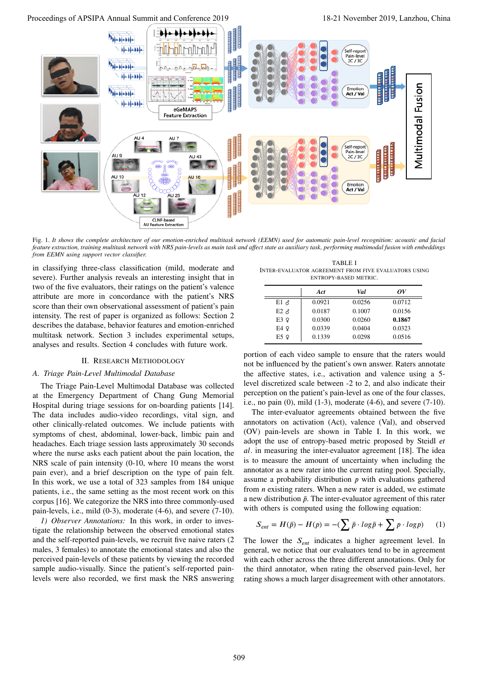

Fig. 1. *It shows the complete architecture of our emotion-enriched multitask network (EEMN) used for automatic pain-level recognition: acoustic and facial feature extraction, training multitask network with NRS pain-levels as main task and affect state as auxiliary task, performing multimodal fusion with embeddings from EEMN using support vector classifier.*

in classifying three-class classification (mild, moderate and severe). Further analysis reveals an interesting insight that in two of the five evaluators, their ratings on the patient's valence attribute are more in concordance with the patient's NRS score than their own observational assessment of patient's pain intensity. The rest of paper is organized as follows: Section 2 describes the database, behavior features and emotion-enriched multitask network. Section 3 includes experimental setups, analyses and results. Section 4 concludes with future work.

#### II. RESEARCH METHODOLOGY

# *A. Triage Pain-Level Multimodal Database*

The Triage Pain-Level Multimodal Database was collected at the Emergency Department of Chang Gung Memorial Hospital during triage sessions for on-boarding patients [14]. The data includes audio-video recordings, vital sign, and other clinically-related outcomes. We include patients with symptoms of chest, abdominal, lower-back, limbic pain and headaches. Each triage session lasts approximately 30 seconds where the nurse asks each patient about the pain location, the NRS scale of pain intensity (0-10, where 10 means the worst pain ever), and a brief description on the type of pain felt. In this work, we use a total of 323 samples from 184 unique patients, i.e., the same setting as the most recent work on this corpus [16]. We categorize the NRS into three commonly-used pain-levels, i.e., mild (0-3), moderate (4-6), and severe (7-10).

*1) Observer Annotations:* In this work, in order to investigate the relationship between the observed emotional states and the self-reported pain-levels, we recruit five naive raters (2 males, 3 females) to annotate the emotional states and also the perceived pain-levels of these patients by viewing the recorded sample audio-visually. Since the patient's self-reported painlevels were also recorded, we first mask the NRS answering

TABLE I INTER-EVALUATOR AGREEMENT FROM FIVE EVALUATORS USING ENTROPY-BASED METRIC.

|                | Act    | Val    | ov     |
|----------------|--------|--------|--------|
| $E1 \; \delta$ | 0.0921 | 0.0256 | 0.0712 |
| $E2 \Delta$    | 0.0187 | 0.1007 | 0.0156 |
| E3 9           | 0.0300 | 0.0260 | 0.1867 |
| E4 9           | 0.0339 | 0.0404 | 0.0323 |
| E5 9           | 0.1339 | 0.0298 | 0.0516 |

portion of each video sample to ensure that the raters would not be influenced by the patient's own answer. Raters annotate the affective states, i.e., activation and valence using a 5 level discretized scale between -2 to 2, and also indicate their perception on the patient's pain-level as one of the four classes, i.e., no pain (0), mild (1-3), moderate (4-6), and severe (7-10).

The inter-evaluator agreements obtained between the five annotators on activation (Act), valence (Val), and observed (OV) pain-levels are shown in Table I. In this work, we adopt the use of entropy-based metric proposed by Steidl *et al*. in measuring the inter-evaluator agreement [18]. The idea is to measure the amount of uncertainty when including the annotator as a new rater into the current rating pool. Specially, assume a probability distribution *p* with evaluations gathered from *n* existing raters. When a new rater is added, we estimate a new distribution  $\bar{p}$ . The inter-evaluator agreement of this rater with others is computed using the following equation:

$$
S_{ent} = H(\bar{p}) - H(p) = -\left(\sum \bar{p} \cdot log\bar{p} + \sum p \cdot logp\right) \tag{1}
$$

The lower the  $S_{ent}$  indicates a higher agreement level. In general, we notice that our evaluators tend to be in agreement with each other across the three different annotations. Only for the third annotator, when rating the observed pain-level, her rating shows a much larger disagreement with other annotators.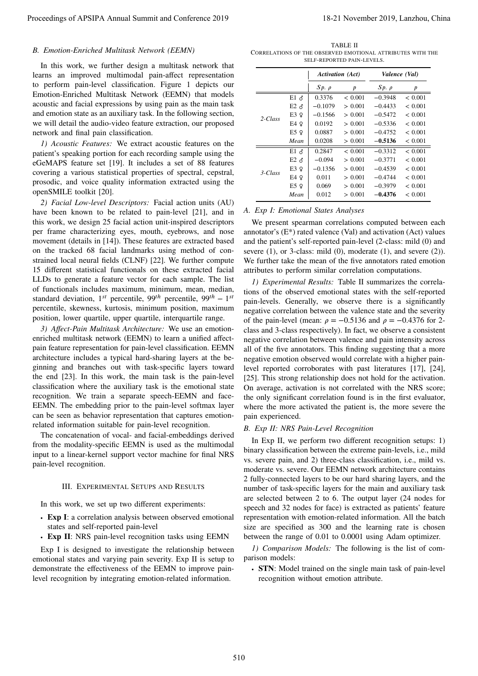# *B. Emotion-Enriched Multitask Network (EEMN)*

In this work, we further design a multitask network that learns an improved multimodal pain-affect representation to perform pain-level classification. Figure 1 depicts our Emotion-Enriched Multitask Network (EEMN) that models acoustic and facial expressions by using pain as the main task and emotion state as an auxiliary task. In the following section, we will detail the audio-video feature extraction, our proposed network and final pain classification.

*1) Acoustic Features:* We extract acoustic features on the patient's speaking portion for each recording sample using the eGeMAPS feature set [19]. It includes a set of 88 features covering a various statistical properties of spectral, cepstral, prosodic, and voice quality information extracted using the openSMILE toolkit [20].

*2) Facial Low-level Descriptors:* Facial action units (AU) have been known to be related to pain-level [21], and in this work, we design 25 facial action unit-inspired descriptors per frame characterizing eyes, mouth, eyebrows, and nose movement (details in [14]). These features are extracted based on the tracked 68 facial landmarks using method of constrained local neural fields (CLNF) [22]. We further compute 15 different statistical functionals on these extracted facial LLDs to generate a feature vector for each sample. The list of functionals includes maximum, minimum, mean, median, *standard deviation,* 1<sup>*st*</sup> percentile, 99<sup>*th*</sup> percentile, 99<sup>*th*</sup> − 1<sup>*st*</sup> percentile, skewness, kurtosis, minimum position, maximum position, lower quartile, upper quartile, interquartile range.

*3) Affect-Pain Multitask Architecture:* We use an emotionenriched multitask network (EEMN) to learn a unified affectpain feature representation for pain-level classification. EEMN architecture includes a typical hard-sharing layers at the beginning and branches out with task-specific layers toward the end [23]. In this work, the main task is the pain-level classification where the auxiliary task is the emotional state recognition. We train a separate speech-EEMN and face-EEMN. The embedding prior to the pain-level softmax layer can be seen as behavior representation that captures emotionrelated information suitable for pain-level recognition.

The concatenation of vocal- and facial-embeddings derived from the modality-specific EEMN is used as the multimodal input to a linear-kernel support vector machine for final NRS pain-level recognition.

### III. EXPERIMENTAL SETUPS AND RESULTS

In this work, we set up two different experiments:

- ∙ **Exp I**: a correlation analysis between observed emotional states and self-reported pain-level
- ∙ **Exp II**: NRS pain-level recognition tasks using EEMN

Exp I is designed to investigate the relationship between emotional states and varying pain severity. Exp II is setup to demonstrate the effectiveness of the EEMN to improve painlevel recognition by integrating emotion-related information.

TABLE II CORRELATIONS OF THE OBSERVED EMOTIONAL ATTRIBUTES WITH THE SELF-REPORTED PAIN-LEVELS.

|            |                | <b>Activation</b> (Act) |         | Valence (Val) |         |
|------------|----------------|-------------------------|---------|---------------|---------|
|            |                | $Sp. \rho$              | p       | $Sp.~\rho$    | p       |
|            | $E1 \delta$    | 0.3376                  | < 0.001 | $-0.3948$     | < 0.001 |
|            | $E2 \; \delta$ | $-0.1079$               | > 0.001 | $-0.4433$     | < 0.001 |
| $2$ -Class | E3Q            | $-0.1566$               | > 0.001 | $-0.5472$     | < 0.001 |
|            | E4 9           | 0.0192                  | > 0.001 | $-0.5336$     | < 0.001 |
|            | E5 9           | 0.0887                  | > 0.001 | $-0.4752$     | < 0.001 |
|            | Mean           | 0.0208                  | > 0.001 | $-0.5136$     | < 0.001 |
|            | $E1 \; \delta$ | 0.2847                  | < 0.001 | $-0.3312$     | < 0.001 |
|            | $E2 \; \delta$ | $-0.094$                | > 0.001 | $-0.3771$     | < 0.001 |
| 3-Class    | E3 9           | $-0.1356$               | > 0.001 | $-0.4539$     | < 0.001 |
|            | E4 9           | 0.011                   | > 0.001 | $-0.4744$     | < 0.001 |
|            | E5 9           | 0.069                   | > 0.001 | $-0.3979$     | < 0.001 |
|            | Mean           | 0.012                   | > 0.001 | $-0.4376$     | < 0.001 |

## *A. Exp I: Emotional States Analyses*

We present spearman correlations computed between each annotator's  $(E^*)$  rated valence (Val) and activation (Act) values and the patient's self-reported pain-level (2-class: mild (0) and severe  $(1)$ , or 3-class: mild  $(0)$ , moderate  $(1)$ , and severe  $(2)$ ). We further take the mean of the five annotators rated emotion attributes to perform similar correlation computations.

*1) Experimental Results:* Table II summarizes the correlations of the observed emotional states with the self-reported pain-levels. Generally, we observe there is a significantly negative correlation between the valence state and the severity of the pain-level (mean:  $\rho = -0.5136$  and  $\rho = -0.4376$  for 2class and 3-class respectively). In fact, we observe a consistent negative correlation between valence and pain intensity across all of the five annotators. This finding suggesting that a more negative emotion observed would correlate with a higher painlevel reported corroborates with past literatures [17], [24], [25]. This strong relationship does not hold for the activation. On average, activation is not correlated with the NRS score; the only significant correlation found is in the first evaluator, where the more activated the patient is, the more severe the pain experienced. Proceeding of APSIPA Annual Summit and Conference 2019 18-21 November 2019 18-21 November 2019, Lanzhou, China 510 november 2019 18-21 November 2019, Lanzhou, China 510 november 2019 18-21 November 2019, Lanzhou, China 51

### *B. Exp II: NRS Pain-Level Recognition*

In Exp II, we perform two different recognition setups: 1) binary classification between the extreme pain-levels, i.e., mild vs. severe pain, and 2) three-class classification, i.e., mild vs. moderate vs. severe. Our EEMN network architecture contains 2 fully-connected layers to be our hard sharing layers, and the number of task-specific layers for the main and auxiliary task are selected between 2 to 6. The output layer (24 nodes for speech and 32 nodes for face) is extracted as patients' feature representation with emotion-related information. All the batch size are specified as 300 and the learning rate is chosen between the range of 0.01 to 0.0001 using Adam optimizer.

*1) Comparison Models:* The following is the list of comparison models:

∙ **STN**: Model trained on the single main task of pain-level recognition without emotion attribute.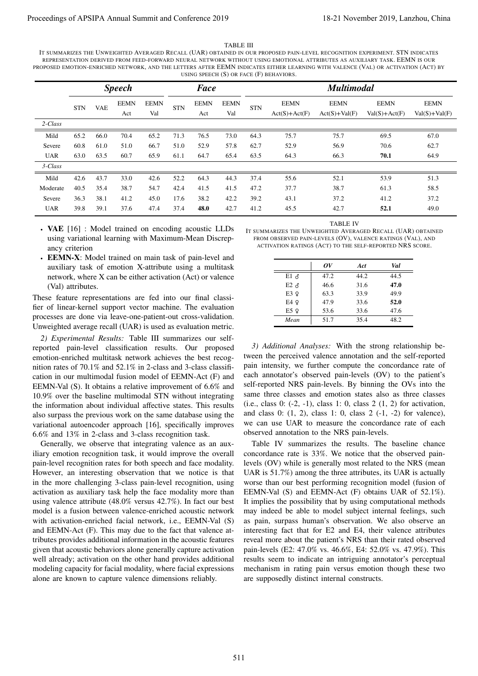TABLE III

| IT SUMMARIZES THE UNWEIGHTED AVERAGED RECALL (UAR) OBTAINED IN OUR PROPOSED PAIN-LEVEL RECOGNITION EXPERIMENT. STN INDICATES      |
|-----------------------------------------------------------------------------------------------------------------------------------|
| REPRESENTATION DERIVED FROM FEED-FORWARD NEURAL NETWORK WITHOUT USING EMOTIONAL ATTRIBUTES AS AUXILIARY TASK. EEMN IS OUR         |
| PROPOSED EMOTION-ENRICHED NETWORK, AND THE LETTERS AFTER EEMN INDICATES EITHER LEARNING WITH VALENCE (VAL) OR ACTIVATION (ACT) BY |
| USING SPEECH $(S)$ OR FACE $(F)$ BEHAVIORS.                                                                                       |

|                                                                                                                                                                                                                                                                                                                                                                                                                                                                                                                                                                                                                                                                                                                                                                                                                                                                                                                                                                                                                                                                                                                                                                                         |              | USING SPEECH $(S)$ OR FACE $(F)$ BEHAVIORS.<br><b>Speech</b><br><b>Face</b> |                                                                                                                                                                                                      |                    |              |                                                                |                    |                                                               |                                                                                                                                                                                                                                                                                                                                                                                                                                                                                                                                                                                                                                                                                                                                                                                                                                                                                                                                                                                                                                                                                                                                                                                                                                                                                                                                                                   | <b>Multimodal</b>              |              |                                  |                                |
|-----------------------------------------------------------------------------------------------------------------------------------------------------------------------------------------------------------------------------------------------------------------------------------------------------------------------------------------------------------------------------------------------------------------------------------------------------------------------------------------------------------------------------------------------------------------------------------------------------------------------------------------------------------------------------------------------------------------------------------------------------------------------------------------------------------------------------------------------------------------------------------------------------------------------------------------------------------------------------------------------------------------------------------------------------------------------------------------------------------------------------------------------------------------------------------------|--------------|-----------------------------------------------------------------------------|------------------------------------------------------------------------------------------------------------------------------------------------------------------------------------------------------|--------------------|--------------|----------------------------------------------------------------|--------------------|---------------------------------------------------------------|-------------------------------------------------------------------------------------------------------------------------------------------------------------------------------------------------------------------------------------------------------------------------------------------------------------------------------------------------------------------------------------------------------------------------------------------------------------------------------------------------------------------------------------------------------------------------------------------------------------------------------------------------------------------------------------------------------------------------------------------------------------------------------------------------------------------------------------------------------------------------------------------------------------------------------------------------------------------------------------------------------------------------------------------------------------------------------------------------------------------------------------------------------------------------------------------------------------------------------------------------------------------------------------------------------------------------------------------------------------------|--------------------------------|--------------|----------------------------------|--------------------------------|
|                                                                                                                                                                                                                                                                                                                                                                                                                                                                                                                                                                                                                                                                                                                                                                                                                                                                                                                                                                                                                                                                                                                                                                                         | <b>STN</b>   | VAE                                                                         | <b>EEMN</b><br>Act                                                                                                                                                                                   | <b>EEMN</b><br>Val | $\mbox{STN}$ | <b>EEMN</b><br>Act                                             | <b>EEMN</b><br>Val | <b>STN</b>                                                    | <b>EEMN</b><br>$Act(S)+Act(F)$                                                                                                                                                                                                                                                                                                                                                                                                                                                                                                                                                                                                                                                                                                                                                                                                                                                                                                                                                                                                                                                                                                                                                                                                                                                                                                                                    | <b>EEMN</b><br>$Act(S)+Val(F)$ |              | <b>EEMN</b><br>$Val(S) + Act(F)$ | <b>EEMN</b><br>$Val(S)+Val(F)$ |
| 2-Class                                                                                                                                                                                                                                                                                                                                                                                                                                                                                                                                                                                                                                                                                                                                                                                                                                                                                                                                                                                                                                                                                                                                                                                 |              |                                                                             |                                                                                                                                                                                                      |                    |              |                                                                |                    |                                                               |                                                                                                                                                                                                                                                                                                                                                                                                                                                                                                                                                                                                                                                                                                                                                                                                                                                                                                                                                                                                                                                                                                                                                                                                                                                                                                                                                                   |                                |              |                                  |                                |
| Mild                                                                                                                                                                                                                                                                                                                                                                                                                                                                                                                                                                                                                                                                                                                                                                                                                                                                                                                                                                                                                                                                                                                                                                                    | 65.2         | 66.0                                                                        | 70.4                                                                                                                                                                                                 | 65.2               | 71.3         | 76.5                                                           | 73.0               | 64.3                                                          | 75.7                                                                                                                                                                                                                                                                                                                                                                                                                                                                                                                                                                                                                                                                                                                                                                                                                                                                                                                                                                                                                                                                                                                                                                                                                                                                                                                                                              | 75.7                           |              | 69.5                             | 67.0                           |
| Severe<br><b>UAR</b>                                                                                                                                                                                                                                                                                                                                                                                                                                                                                                                                                                                                                                                                                                                                                                                                                                                                                                                                                                                                                                                                                                                                                                    | 60.8<br>63.0 | 61.0<br>63.5                                                                | 51.0<br>60.7                                                                                                                                                                                         | 66.7<br>65.9       | 51.0<br>61.1 | 52.9<br>64.7                                                   | 57.8<br>65.4       | 62.7<br>63.5                                                  | 52.9<br>64.3                                                                                                                                                                                                                                                                                                                                                                                                                                                                                                                                                                                                                                                                                                                                                                                                                                                                                                                                                                                                                                                                                                                                                                                                                                                                                                                                                      | 56.9<br>66.3                   |              | 70.6<br>70.1                     | 62.7<br>64.9                   |
| 3-Class                                                                                                                                                                                                                                                                                                                                                                                                                                                                                                                                                                                                                                                                                                                                                                                                                                                                                                                                                                                                                                                                                                                                                                                 |              |                                                                             |                                                                                                                                                                                                      |                    |              |                                                                |                    |                                                               |                                                                                                                                                                                                                                                                                                                                                                                                                                                                                                                                                                                                                                                                                                                                                                                                                                                                                                                                                                                                                                                                                                                                                                                                                                                                                                                                                                   |                                |              |                                  |                                |
| Mild                                                                                                                                                                                                                                                                                                                                                                                                                                                                                                                                                                                                                                                                                                                                                                                                                                                                                                                                                                                                                                                                                                                                                                                    | 42.6         | 43.7                                                                        | 33.0                                                                                                                                                                                                 | 42.6               | 52.2         | 64.3                                                           | 44.3               | 37.4                                                          | 55.6                                                                                                                                                                                                                                                                                                                                                                                                                                                                                                                                                                                                                                                                                                                                                                                                                                                                                                                                                                                                                                                                                                                                                                                                                                                                                                                                                              | 52.1                           |              | 53.9                             | 51.3                           |
| Moderate                                                                                                                                                                                                                                                                                                                                                                                                                                                                                                                                                                                                                                                                                                                                                                                                                                                                                                                                                                                                                                                                                                                                                                                | 40.5         | 35.4                                                                        | 38.7                                                                                                                                                                                                 | 54.7               | 42.4         | 41.5                                                           | 41.5               | 47.2                                                          | 37.7                                                                                                                                                                                                                                                                                                                                                                                                                                                                                                                                                                                                                                                                                                                                                                                                                                                                                                                                                                                                                                                                                                                                                                                                                                                                                                                                                              | 38.7                           |              | 61.3                             | 58.5                           |
| Severe                                                                                                                                                                                                                                                                                                                                                                                                                                                                                                                                                                                                                                                                                                                                                                                                                                                                                                                                                                                                                                                                                                                                                                                  | 36.3         | 38.1                                                                        | 41.2                                                                                                                                                                                                 | 45.0               | 17.6         | 38.2                                                           | 42.2               | 39.2                                                          | 43.1                                                                                                                                                                                                                                                                                                                                                                                                                                                                                                                                                                                                                                                                                                                                                                                                                                                                                                                                                                                                                                                                                                                                                                                                                                                                                                                                                              | 37.2                           |              | 41.2                             | 37.2                           |
| <b>UAR</b>                                                                                                                                                                                                                                                                                                                                                                                                                                                                                                                                                                                                                                                                                                                                                                                                                                                                                                                                                                                                                                                                                                                                                                              | 39.8         | 39.1                                                                        | 37.6                                                                                                                                                                                                 | 47.4               | 37.4         | 48.0                                                           | 42.7               | 41.2                                                          | 45.5                                                                                                                                                                                                                                                                                                                                                                                                                                                                                                                                                                                                                                                                                                                                                                                                                                                                                                                                                                                                                                                                                                                                                                                                                                                                                                                                                              | 42.7                           |              | 52.1                             | 49.0                           |
| • VAE [16] : Model trained on encoding acoustic LLDs<br>ancy criterion<br>• EEMN-X: Model trained on main task of pain-level and                                                                                                                                                                                                                                                                                                                                                                                                                                                                                                                                                                                                                                                                                                                                                                                                                                                                                                                                                                                                                                                        |              |                                                                             | using variational learning with Maximum-Mean Discrep-                                                                                                                                                |                    |              |                                                                |                    |                                                               | IT SUMMARIZES THE UNWEIGHTED AVERAGED RECALL (UAR) OBTAINED<br>FROM OBSERVED PAIN-LEVELS (OV), VALENCE RATINGS (VAL), AND<br>ACTIVATION RATINGS (ACT) TO THE SELF-REPORTED NRS SCORE.                                                                                                                                                                                                                                                                                                                                                                                                                                                                                                                                                                                                                                                                                                                                                                                                                                                                                                                                                                                                                                                                                                                                                                             |                                |              |                                  |                                |
|                                                                                                                                                                                                                                                                                                                                                                                                                                                                                                                                                                                                                                                                                                                                                                                                                                                                                                                                                                                                                                                                                                                                                                                         |              |                                                                             | auxiliary task of emotion X-attribute using a multitask                                                                                                                                              |                    |              |                                                                |                    |                                                               |                                                                                                                                                                                                                                                                                                                                                                                                                                                                                                                                                                                                                                                                                                                                                                                                                                                                                                                                                                                                                                                                                                                                                                                                                                                                                                                                                                   | ov                             | Act          | Val                              |                                |
|                                                                                                                                                                                                                                                                                                                                                                                                                                                                                                                                                                                                                                                                                                                                                                                                                                                                                                                                                                                                                                                                                                                                                                                         |              |                                                                             | network, where X can be either activation (Act) or valence                                                                                                                                           |                    |              |                                                                |                    |                                                               | $E1$ $\sigma$                                                                                                                                                                                                                                                                                                                                                                                                                                                                                                                                                                                                                                                                                                                                                                                                                                                                                                                                                                                                                                                                                                                                                                                                                                                                                                                                                     | 47.2                           | 44.2         | 44.5                             |                                |
| (Val) attributes.                                                                                                                                                                                                                                                                                                                                                                                                                                                                                                                                                                                                                                                                                                                                                                                                                                                                                                                                                                                                                                                                                                                                                                       |              |                                                                             |                                                                                                                                                                                                      |                    |              |                                                                |                    |                                                               | $E2 \delta$<br>$E3$ $Q$                                                                                                                                                                                                                                                                                                                                                                                                                                                                                                                                                                                                                                                                                                                                                                                                                                                                                                                                                                                                                                                                                                                                                                                                                                                                                                                                           | 46.6<br>63.3                   | 31.6<br>33.9 | 47.0<br>49.9                     |                                |
| These feature representations are fed into our final classi-<br>fier of linear-kernel support vector machine. The evaluation                                                                                                                                                                                                                                                                                                                                                                                                                                                                                                                                                                                                                                                                                                                                                                                                                                                                                                                                                                                                                                                            |              |                                                                             |                                                                                                                                                                                                      |                    |              |                                                                |                    |                                                               | $E4$ $Q$                                                                                                                                                                                                                                                                                                                                                                                                                                                                                                                                                                                                                                                                                                                                                                                                                                                                                                                                                                                                                                                                                                                                                                                                                                                                                                                                                          | 47.9                           | 33.6         | 52.0                             |                                |
| processes are done via leave-one-patient-out cross-validation.                                                                                                                                                                                                                                                                                                                                                                                                                                                                                                                                                                                                                                                                                                                                                                                                                                                                                                                                                                                                                                                                                                                          |              |                                                                             |                                                                                                                                                                                                      |                    |              |                                                                |                    |                                                               | $E5$ $9$<br>Mean                                                                                                                                                                                                                                                                                                                                                                                                                                                                                                                                                                                                                                                                                                                                                                                                                                                                                                                                                                                                                                                                                                                                                                                                                                                                                                                                                  | 53.6<br>51.7                   | 33.6<br>35.4 | 47.6<br>48.2                     |                                |
| emotion-enriched multitask network achieves the best recog-<br>nition rates of 70.1% and 52.1% in 2-class and 3-class classifi-<br>cation in our multimodal fusion model of EEMN-Act (F) and<br>EEMN-Val (S). It obtains a relative improvement of 6.6% and<br>10.9% over the baseline multimodal STN without integrating<br>the information about individual affective states. This results<br>also surpass the previous work on the same database using the<br>variational autoencoder approach [16], specifically improves<br>6.6% and 13% in 2-class and 3-class recognition task.<br>Generally, we observe that integrating valence as an aux-<br>iliary emotion recognition task, it would improve the overall<br>pain-level recognition rates for both speech and face modality.<br>However, an interesting observation that we notice is that<br>in the more challenging 3-class pain-level recognition, using<br>activation as auxiliary task help the face modality more than<br>using valence attribute (48.0% versus 42.7%). In fact our best<br>model is a fusion between valence-enriched acoustic network<br>with activation-enriched facial network, i.e., EEMN-Val (S) |              |                                                                             | and EEMN-Act (F). This may due to the fact that valence at-<br>tributes provides additional information in the acoustic features<br>given that acoustic behaviors alone generally capture activation |                    |              | well already; activation on the other hand provides additional |                    | results seem to indicate an intriguing annotator's perceptual | tween the perceived valence annotation and the self-reported<br>pain intensity, we further compute the concordance rate of<br>each annotator's observed pain-levels (OV) to the patient's<br>self-reported NRS pain-levels. By binning the OVs into the<br>same three classes and emotion states also as three classes<br>(i.e., class 0: $(-2, -1)$ , class 1: 0, class 2 $(1, 2)$ for activation,<br>and class 0: $(1, 2)$ , class 1: 0, class 2 $(-1, -2)$ for valence),<br>we can use UAR to measure the concordance rate of each<br>observed annotation to the NRS pain-levels.<br>Table IV summarizes the results. The baseline chance<br>concordance rate is 33%. We notice that the observed pain-<br>levels (OV) while is generally most related to the NRS (mean<br>UAR is 51.7%) among the three attributes, its UAR is actually<br>worse than our best performing recognition model (fusion of<br>EEMN-Val (S) and EEMN-Act (F) obtains UAR of 52.1%).<br>It implies the possibility that by using computational methods<br>may indeed be able to model subject internal feelings, such<br>as pain, surpass human's observation. We also observe an<br>interesting fact that for E2 and E4, their valence attributes<br>reveal more about the patient's NRS than their rated observed<br>pain-levels (E2: 47.0% vs. 46.6%, E4: 52.0% vs. 47.9%). This |                                |              |                                  |                                |

- ∙ **VAE** [16] : Model trained on encoding acoustic LLDs using variational learning with Maximum-Mean Discrepancy criterion
- ∙ **EEMN-X**: Model trained on main task of pain-level and auxiliary task of emotion X-attribute using a multitask network, where X can be either activation (Act) or valence (Val) attributes.

IT SUMMARIZES THE UNWEIGHTED AVERAGED RECALL (UAR) OBTAINED FROM OBSERVED PAIN-LEVELS (OV), VALENCE RATINGS (VAL), AND ACTIVATION RATINGS (ACT) TO THE SELF-REPORTED NRS SCORE.

|             | ov   | Act  | Val  |
|-------------|------|------|------|
| $E1 \delta$ | 47.2 | 44.2 | 44.5 |
| $E2 \Delta$ | 46.6 | 31.6 | 47.0 |
| E3 9        | 63.3 | 33.9 | 49.9 |
| E4 9        | 47.9 | 33.6 | 52.0 |
| E5 9        | 53.6 | 33.6 | 47.6 |
| Mean        | 51.7 | 35.4 | 48.2 |